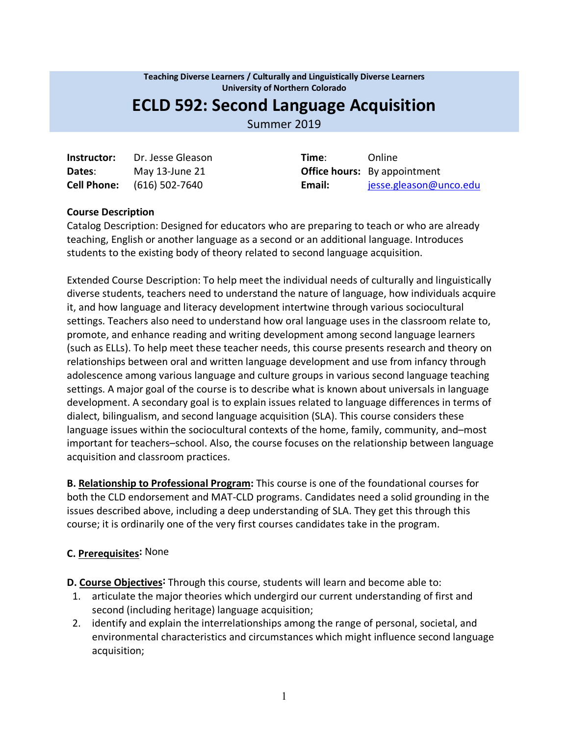**Teaching Diverse Learners / Culturally and Linguistically Diverse Learners University of Northern Colorado**

# **ECLD 592: Second Language Acquisition**

Summer 2019

| Instructor: | Dr. Jesse Gleason                 | Time:                       | Online  |
|-------------|-----------------------------------|-----------------------------|---------|
| Dates:      | May 13-June 21                    | <b>Office hours:</b> By app |         |
|             | <b>Cell Phone:</b> (616) 502-7640 | Email:                      | jesse.g |

**Office hours:** By appointment **Cell Phone:** (616) 502-7640 **Email:** jesse.gleason@unco.edu

#### **Course Description**

Catalog Description: Designed for educators who are preparing to teach or who are already teaching, English or another language as a second or an additional language. Introduces students to the existing body of theory related to second language acquisition.

Extended Course Description: To help meet the individual needs of culturally and linguistically diverse students, teachers need to understand the nature of language, how individuals acquire it, and how language and literacy development intertwine through various sociocultural settings. Teachers also need to understand how oral language uses in the classroom relate to, promote, and enhance reading and writing development among second language learners (such as ELLs). To help meet these teacher needs, this course presents research and theory on relationships between oral and written language development and use from infancy through adolescence among various language and culture groups in various second language teaching settings. A major goal of the course is to describe what is known about universals in language development. A secondary goal is to explain issues related to language differences in terms of dialect, bilingualism, and second language acquisition (SLA). This course considers these language issues within the sociocultural contexts of the home, family, community, and–most important for teachers–school. Also, the course focuses on the relationship between language acquisition and classroom practices.

**B. Relationship to Professional Program:** This course is one of the foundational courses for both the CLD endorsement and MAT-CLD programs. Candidates need a solid grounding in the issues described above, including a deep understanding of SLA. They get this through this course; it is ordinarily one of the very first courses candidates take in the program.

## **C. Prerequisites:** None

**D. Course Objectives:** Through this course, students will learn and become able to:

- 1. articulate the major theories which undergird our current understanding of first and second (including heritage) language acquisition;
- 2. identify and explain the interrelationships among the range of personal, societal, and environmental characteristics and circumstances which might influence second language acquisition;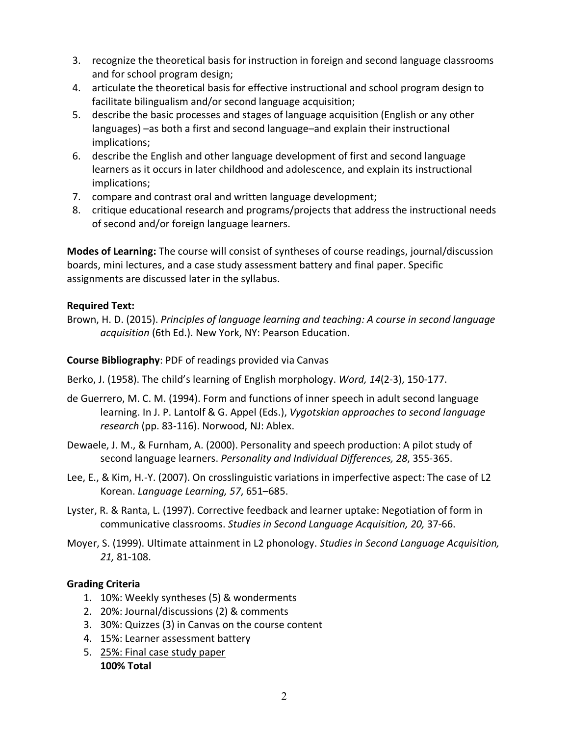- 3. recognize the theoretical basis for instruction in foreign and second language classrooms and for school program design;
- 4. articulate the theoretical basis for effective instructional and school program design to facilitate bilingualism and/or second language acquisition;
- 5. describe the basic processes and stages of language acquisition (English or any other languages) –as both a first and second language–and explain their instructional implications;
- 6. describe the English and other language development of first and second language learners as it occurs in later childhood and adolescence, and explain its instructional implications;
- 7. compare and contrast oral and written language development;
- 8. critique educational research and programs/projects that address the instructional needs of second and/or foreign language learners.

**Modes of Learning:** The course will consist of syntheses of course readings, journal/discussion boards, mini lectures, and a case study assessment battery and final paper. Specific assignments are discussed later in the syllabus.

## **Required Text:**

Brown, H. D. (2015). *Principles of language learning and teaching: A course in second language acquisition* (6th Ed.). New York, NY: Pearson Education.

## **Course Bibliography**: PDF of readings provided via Canvas

- Berko, J. (1958). The child's learning of English morphology. *Word, 14*(2-3), 150-177.
- de Guerrero, M. C. M. (1994). Form and functions of inner speech in adult second language learning. In J. P. Lantolf & G. Appel (Eds.), *Vygotskian approaches to second language research* (pp. 83-116). Norwood, NJ: Ablex.
- Dewaele, J. M., & Furnham, A. (2000). Personality and speech production: A pilot study of second language learners. *Personality and Individual Differences, 28*, 355-365.
- Lee, E., & Kim, H.-Y. (2007). On crosslinguistic variations in imperfective aspect: The case of L2 Korean. *Language Learning, 57*, 651–685.
- Lyster, R. & Ranta, L. (1997). Corrective feedback and learner uptake: Negotiation of form in communicative classrooms. *Studies in Second Language Acquisition, 20,* 37-66.
- Moyer, S. (1999). Ultimate attainment in L2 phonology. *Studies in Second Language Acquisition, 21,* 81-108.

## **Grading Criteria**

- 1. 10%: Weekly syntheses (5) & wonderments
- 2. 20%: Journal/discussions (2) & comments
- 3. 30%: Quizzes (3) in Canvas on the course content
- 4. 15%: Learner assessment battery
- 5. 25%: Final case study paper **100% Total**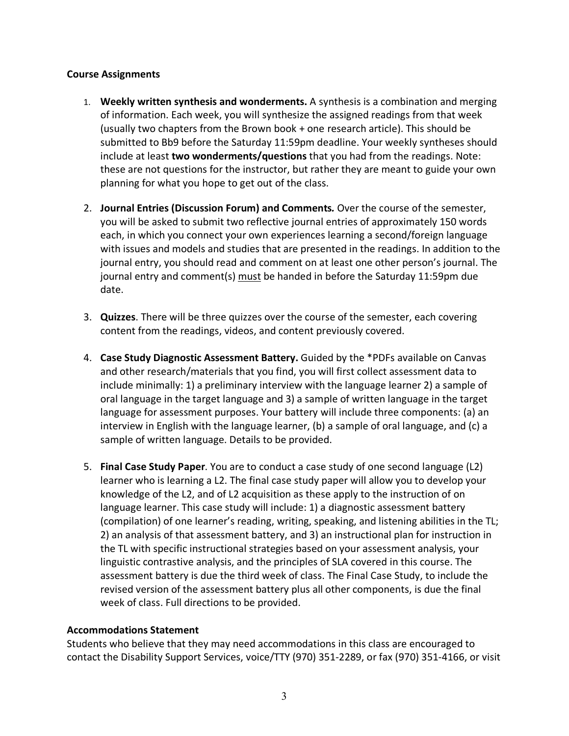#### **Course Assignments**

- 1. **Weekly written synthesis and wonderments.** A synthesis is a combination and merging of information. Each week, you will synthesize the assigned readings from that week (usually two chapters from the Brown book + one research article). This should be submitted to Bb9 before the Saturday 11:59pm deadline. Your weekly syntheses should include at least **two wonderments/questions** that you had from the readings. Note: these are not questions for the instructor, but rather they are meant to guide your own planning for what you hope to get out of the class.
- 2. **Journal Entries (Discussion Forum) and Comments***.* Over the course of the semester, you will be asked to submit two reflective journal entries of approximately 150 words each, in which you connect your own experiences learning a second/foreign language with issues and models and studies that are presented in the readings. In addition to the journal entry, you should read and comment on at least one other person's journal. The journal entry and comment(s) must be handed in before the Saturday 11:59pm due date.
- 3. **Quizzes**. There will be three quizzes over the course of the semester, each covering content from the readings, videos, and content previously covered.
- 4. **Case Study Diagnostic Assessment Battery.** Guided by the \*PDFs available on Canvas and other research/materials that you find, you will first collect assessment data to include minimally: 1) a preliminary interview with the language learner 2) a sample of oral language in the target language and 3) a sample of written language in the target language for assessment purposes. Your battery will include three components: (a) an interview in English with the language learner, (b) a sample of oral language, and (c) a sample of written language. Details to be provided.
- 5. **Final Case Study Paper**. You are to conduct a case study of one second language (L2) learner who is learning a L2. The final case study paper will allow you to develop your knowledge of the L2, and of L2 acquisition as these apply to the instruction of on language learner. This case study will include: 1) a diagnostic assessment battery (compilation) of one learner's reading, writing, speaking, and listening abilities in the TL; 2) an analysis of that assessment battery, and 3) an instructional plan for instruction in the TL with specific instructional strategies based on your assessment analysis, your linguistic contrastive analysis, and the principles of SLA covered in this course. The assessment battery is due the third week of class. The Final Case Study, to include the revised version of the assessment battery plus all other components, is due the final week of class. Full directions to be provided.

#### **Accommodations Statement**

Students who believe that they may need accommodations in this class are encouraged to contact the Disability Support Services, voice/TTY (970) 351-2289, or fax (970) 351-4166, or visit